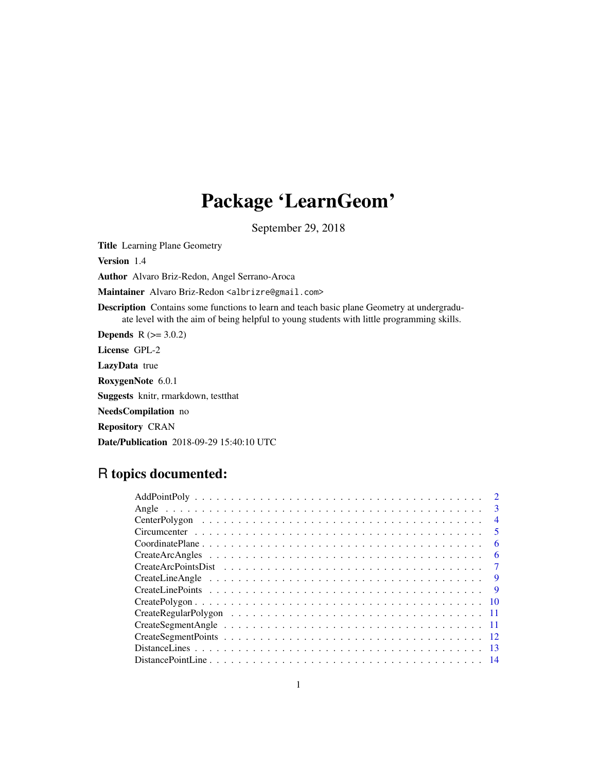# Package 'LearnGeom'

September 29, 2018

Title Learning Plane Geometry

Version 1.4

Author Alvaro Briz-Redon, Angel Serrano-Aroca

Maintainer Alvaro Briz-Redon <albrizre@gmail.com>

Description Contains some functions to learn and teach basic plane Geometry at undergraduate level with the aim of being helpful to young students with little programming skills.

**Depends**  $R (= 3.0.2)$ License GPL-2 LazyData true RoxygenNote 6.0.1 Suggests knitr, rmarkdown, testthat NeedsCompilation no Repository CRAN Date/Publication 2018-09-29 15:40:10 UTC

R topics documented:

| $\overline{\mathbf{3}}$  |
|--------------------------|
|                          |
| $\overline{4}$           |
| $\overline{\phantom{0}}$ |
| 6                        |
| -6                       |
| $\overline{7}$           |
| $\overline{9}$           |
| $\overline{9}$           |
|                          |
|                          |
|                          |
|                          |
| -13                      |
|                          |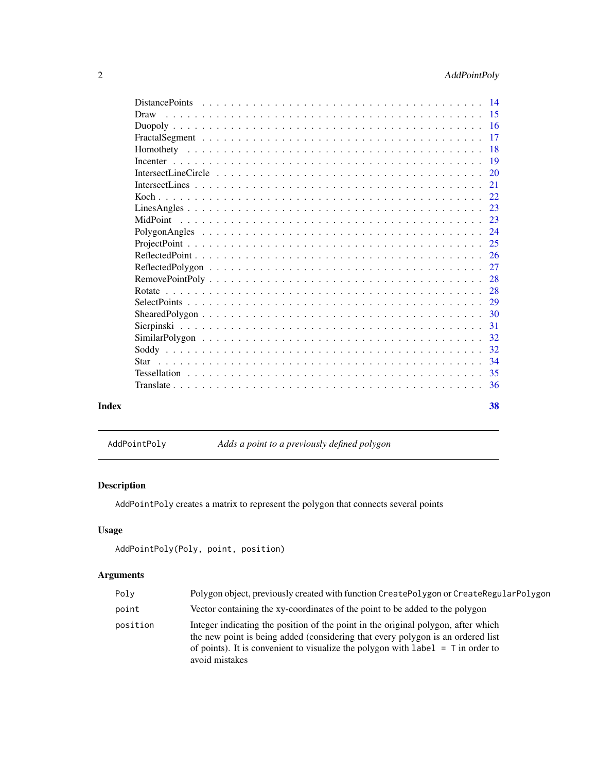<span id="page-1-0"></span>

| Draw                                                                                                       |               |
|------------------------------------------------------------------------------------------------------------|---------------|
|                                                                                                            |               |
|                                                                                                            |               |
|                                                                                                            | 17            |
|                                                                                                            | -18           |
|                                                                                                            | -19           |
|                                                                                                            | <sup>20</sup> |
|                                                                                                            | 21            |
|                                                                                                            | 22            |
|                                                                                                            | 23            |
| MidPoint                                                                                                   | 23            |
|                                                                                                            | 24            |
|                                                                                                            | 25            |
|                                                                                                            | -26           |
|                                                                                                            |               |
|                                                                                                            | -28           |
|                                                                                                            |               |
|                                                                                                            | 29            |
|                                                                                                            |               |
|                                                                                                            | 31            |
| $SimilarPolygon \dots \dots \dots \dots \dots \dots \dots \dots \dots \dots \dots \dots \dots \dots \dots$ | 32            |
|                                                                                                            | 32            |
|                                                                                                            | 34            |
|                                                                                                            |               |
|                                                                                                            |               |
|                                                                                                            | 38            |

AddPointPoly *Adds a point to a previously defined polygon*

# Description

AddPointPoly creates a matrix to represent the polygon that connects several points

# Usage

```
AddPointPoly(Poly, point, position)
```

| Poly     | Polygon object, previously created with function CreatePolygon or CreateRegularPolygon                                                                                                                                                                                       |
|----------|------------------------------------------------------------------------------------------------------------------------------------------------------------------------------------------------------------------------------------------------------------------------------|
| point    | Vector containing the xy-coordinates of the point to be added to the polygon                                                                                                                                                                                                 |
| position | Integer indicating the position of the point in the original polygon, after which<br>the new point is being added (considering that every polygon is an ordered list<br>of points). It is convenient to visualize the polygon with label $=$ T in order to<br>avoid mistakes |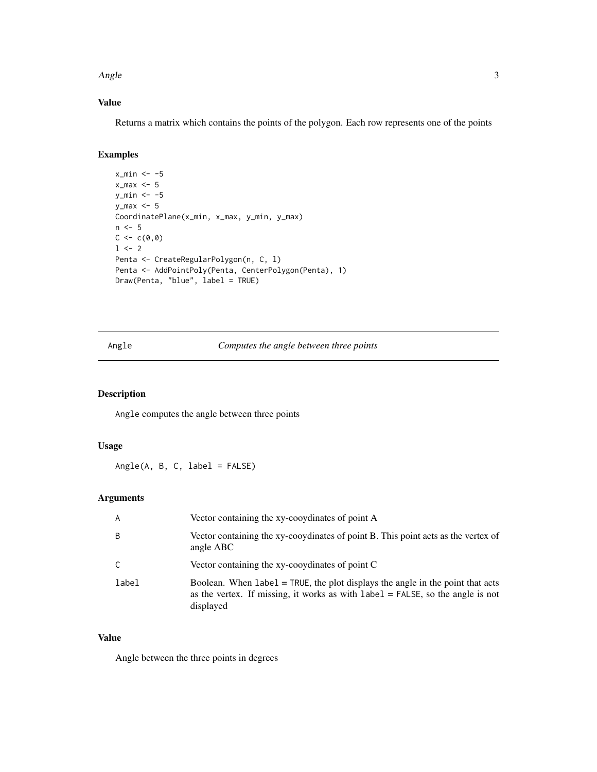<span id="page-2-0"></span> $\angle$  Angle  $\angle$  3

# Value

Returns a matrix which contains the points of the polygon. Each row represents one of the points

# Examples

```
x_{min} < -5x_max <-5y_{min} < -5y_max \leq -5CoordinatePlane(x_min, x_max, y_min, y_max)
n < -5C < -c(0, 0)1 <- 2
Penta <- CreateRegularPolygon(n, C, l)
Penta <- AddPointPoly(Penta, CenterPolygon(Penta), 1)
Draw(Penta, "blue", label = TRUE)
```
# Angle *Computes the angle between three points*

# Description

Angle computes the angle between three points

## Usage

Angle(A, B, C, label = FALSE)

# Arguments

| A     | Vector containing the xy-cooydinates of point A                                                                                                                                     |
|-------|-------------------------------------------------------------------------------------------------------------------------------------------------------------------------------------|
| B     | Vector containing the xy-cooydinates of point B. This point acts as the vertex of<br>angle ABC                                                                                      |
| C     | Vector containing the xy-cooydinates of point C                                                                                                                                     |
| label | Boolean. When $label = TRUE$ , the plot displays the angle in the point that acts<br>as the vertex. If missing, it works as with $label = FALSE$ , so the angle is not<br>displayed |

### Value

Angle between the three points in degrees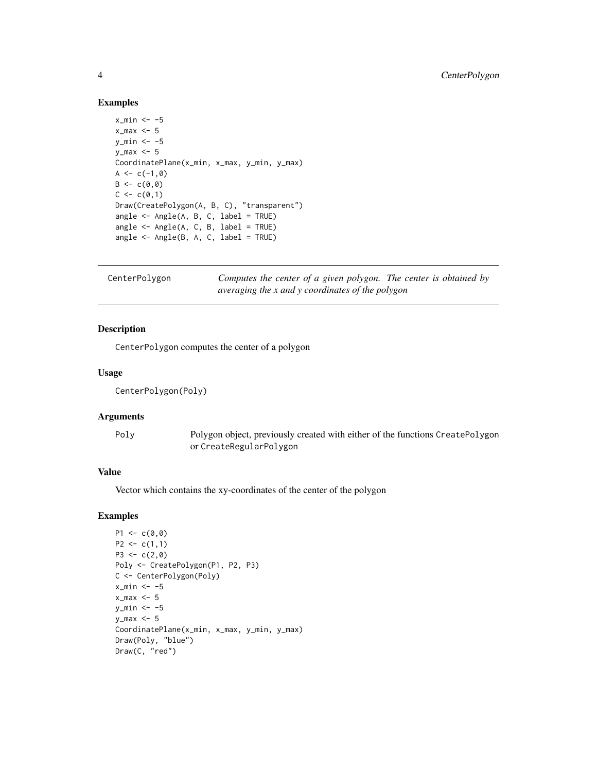#### Examples

```
x_{min} < -5x_{max} < -5y_{min} < -5v max \leq -5CoordinatePlane(x_min, x_max, y_min, y_max)
A \leftarrow c(-1, 0)B \leq -c(0, 0)C < -c(0,1)Draw(CreatePolygon(A, B, C), "transparent")
angle <- Angle(A, B, C, label = TRUE)
angle <- Angle(A, C, B, label = TRUE)
angle <- Angle(B, A, C, label = TRUE)
```
CenterPolygon *Computes the center of a given polygon. The center is obtained by averaging the x and y coordinates of the polygon*

#### Description

CenterPolygon computes the center of a polygon

#### Usage

```
CenterPolygon(Poly)
```
#### Arguments

Poly Polygon object, previously created with either of the functions CreatePolygon or CreateRegularPolygon

# Value

Vector which contains the xy-coordinates of the center of the polygon

```
P1 \leq C(0, 0)P2 \leq c(1,1)P3 <- c(2,0)Poly <- CreatePolygon(P1, P2, P3)
C <- CenterPolygon(Poly)
x_{min} < -5x_{max} < -5y_{\text{min}} < -5y_max <- 5
CoordinatePlane(x_min, x_max, y_min, y_max)
Draw(Poly, "blue")
Draw(C, "red")
```
<span id="page-3-0"></span>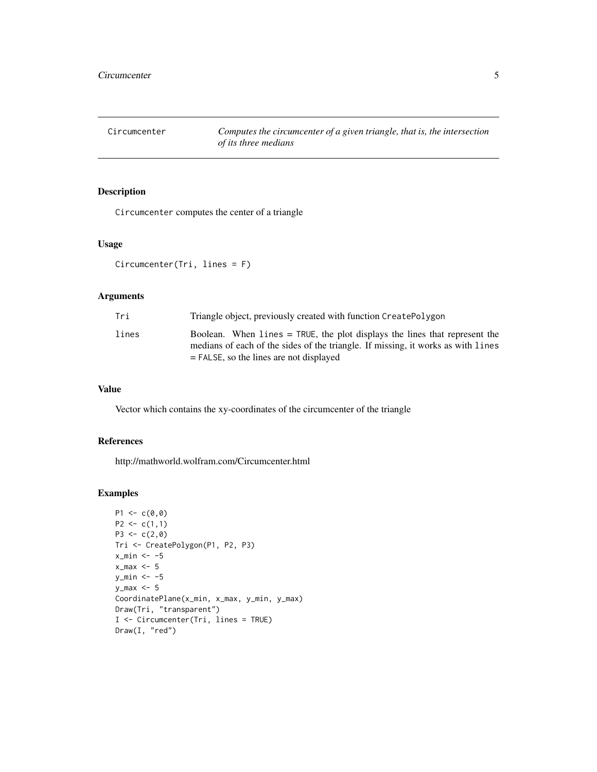<span id="page-4-0"></span>Circumcenter *Computes the circumcenter of a given triangle, that is, the intersection of its three medians*

# Description

Circumcenter computes the center of a triangle

#### Usage

Circumcenter(Tri, lines = F)

# Arguments

| Tri   | Triangle object, previously created with function CreatePolygon                                                                                                   |
|-------|-------------------------------------------------------------------------------------------------------------------------------------------------------------------|
| lines | Boolean. When $l$ ines = TRUE, the plot displays the lines that represent the<br>medians of each of the sides of the triangle. If missing, it works as with lines |
|       | $=$ FALSE, so the lines are not displayed                                                                                                                         |

# Value

Vector which contains the xy-coordinates of the circumcenter of the triangle

# References

http://mathworld.wolfram.com/Circumcenter.html

```
P1 \leftarrow c(0,0)P2 \leq c(1,1)P3 \leq -c(2, 0)Tri <- CreatePolygon(P1, P2, P3)
x_min <- -5
x_max <-5y_{\text{min}} < -5y_max <- 5
CoordinatePlane(x_min, x_max, y_min, y_max)
Draw(Tri, "transparent")
I <- Circumcenter(Tri, lines = TRUE)
Draw(I, "red")
```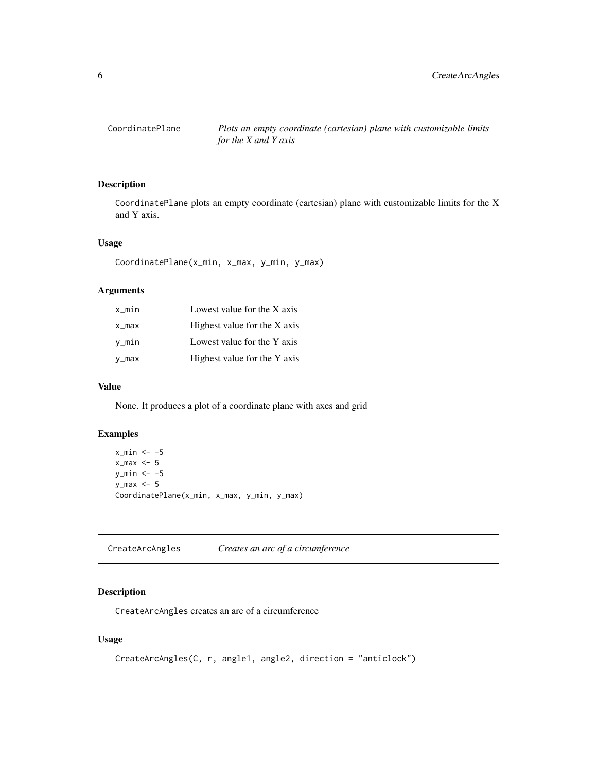<span id="page-5-0"></span>

# Description

CoordinatePlane plots an empty coordinate (cartesian) plane with customizable limits for the X and Y axis.

#### Usage

CoordinatePlane(x\_min, x\_max, y\_min, y\_max)

# Arguments

| x_min | Lowest value for the X axis  |
|-------|------------------------------|
| x_max | Highest value for the X axis |
| v_min | Lowest value for the Y axis  |
| y_max | Highest value for the Y axis |

#### Value

None. It produces a plot of a coordinate plane with axes and grid

# Examples

```
x_{min} < -5x_{max} < -5y_{\text{min}} < -5v_{max} <- 5
CoordinatePlane(x_min, x_max, y_min, y_max)
```
CreateArcAngles *Creates an arc of a circumference*

#### Description

CreateArcAngles creates an arc of a circumference

# Usage

```
CreateArcAngles(C, r, angle1, angle2, direction = "anticlock")
```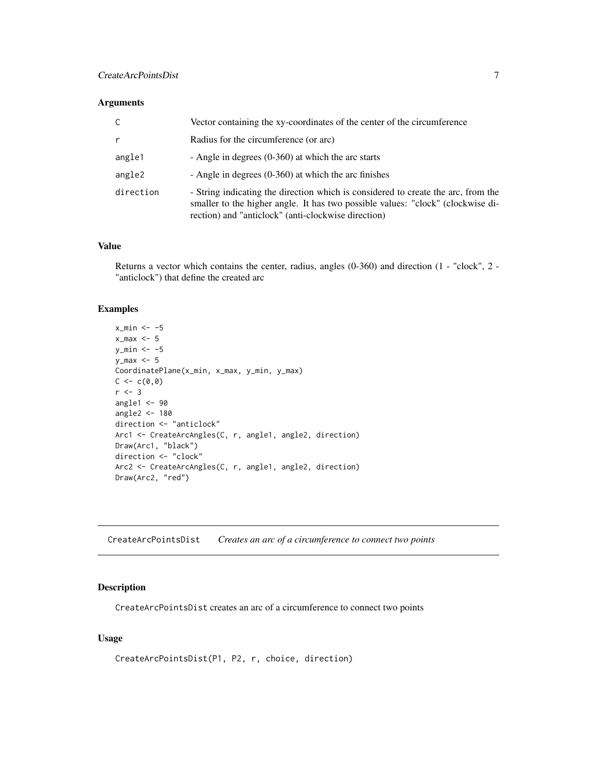#### <span id="page-6-0"></span>Arguments

| C         | Vector containing the xy-coordinates of the center of the circumference                                                                                                                                                     |
|-----------|-----------------------------------------------------------------------------------------------------------------------------------------------------------------------------------------------------------------------------|
| r         | Radius for the circumference (or arc)                                                                                                                                                                                       |
| angle1    | - Angle in degrees $(0-360)$ at which the arc starts                                                                                                                                                                        |
| angle2    | - Angle in degrees $(0-360)$ at which the arc finishes                                                                                                                                                                      |
| direction | - String indicating the direction which is considered to create the arc, from the<br>smaller to the higher angle. It has two possible values: "clock" (clockwise di-<br>rection) and "anticlock" (anti-clockwise direction) |

#### Value

Returns a vector which contains the center, radius, angles (0-360) and direction (1 - "clock", 2 - "anticlock") that define the created arc

#### Examples

```
x_{min} < -5x_{max} < -5y_{min} < -5y_{max} < -5CoordinatePlane(x_min, x_max, y_min, y_max)
C < -c(0, 0)r <- 3
angle1 <- 90
angle2 <- 180
direction <- "anticlock"
Arc1 <- CreateArcAngles(C, r, angle1, angle2, direction)
Draw(Arc1, "black")
direction <- "clock"
Arc2 <- CreateArcAngles(C, r, angle1, angle2, direction)
Draw(Arc2, "red")
```
CreateArcPointsDist *Creates an arc of a circumference to connect two points*

#### Description

CreateArcPointsDist creates an arc of a circumference to connect two points

### Usage

```
CreateArcPointsDist(P1, P2, r, choice, direction)
```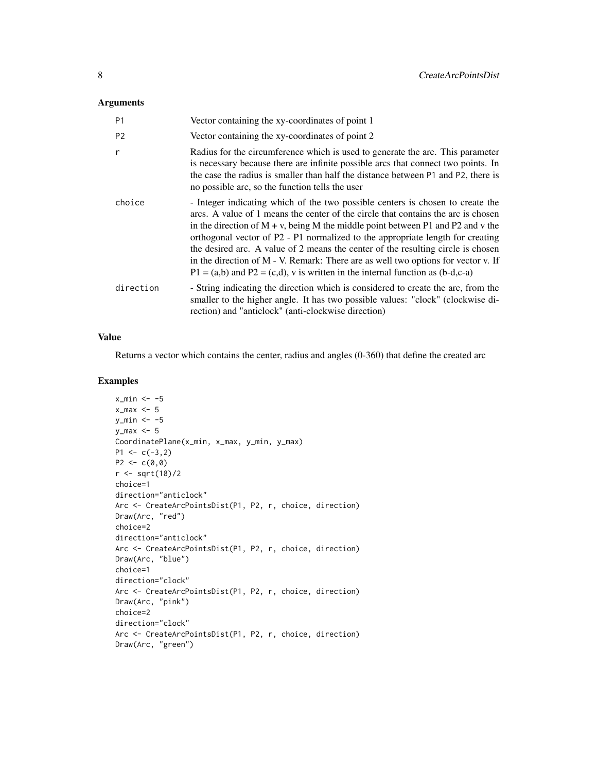#### Arguments

| P <sub>1</sub> | Vector containing the xy-coordinates of point 1                                                                                                                                                                                                                                                                                                                                                                                                                                                                                                                                                              |
|----------------|--------------------------------------------------------------------------------------------------------------------------------------------------------------------------------------------------------------------------------------------------------------------------------------------------------------------------------------------------------------------------------------------------------------------------------------------------------------------------------------------------------------------------------------------------------------------------------------------------------------|
| P <sub>2</sub> | Vector containing the xy-coordinates of point 2                                                                                                                                                                                                                                                                                                                                                                                                                                                                                                                                                              |
| r              | Radius for the circumference which is used to generate the arc. This parameter<br>is necessary because there are infinite possible arcs that connect two points. In<br>the case the radius is smaller than half the distance between P1 and P2, there is<br>no possible arc, so the function tells the user                                                                                                                                                                                                                                                                                                  |
| choice         | - Integer indicating which of the two possible centers is chosen to create the<br>arcs. A value of 1 means the center of the circle that contains the arc is chosen<br>in the direction of $M + v$ , being M the middle point between P1 and P2 and v the<br>orthogonal vector of P2 - P1 normalized to the appropriate length for creating<br>the desired arc. A value of 2 means the center of the resulting circle is chosen<br>in the direction of M - V. Remark: There are as well two options for vector v. If<br>$P1 = (a,b)$ and $P2 = (c,d)$ , v is written in the internal function as $(b-d,c-a)$ |
| direction      | - String indicating the direction which is considered to create the arc, from the<br>smaller to the higher angle. It has two possible values: "clock" (clockwise di-<br>rection) and "anticlock" (anti-clockwise direction)                                                                                                                                                                                                                                                                                                                                                                                  |

#### Value

Returns a vector which contains the center, radius and angles (0-360) that define the created arc

```
x_{min} < -5x_{max} < -5y_{min} < -5y_max <- 5
CoordinatePlane(x_min, x_max, y_min, y_max)
P1 \leftarrow c(-3, 2)P2 \leq -c(0,0)r < -sqrt(18)/2choice=1
direction="anticlock"
Arc <- CreateArcPointsDist(P1, P2, r, choice, direction)
Draw(Arc, "red")
choice=2
direction="anticlock"
Arc <- CreateArcPointsDist(P1, P2, r, choice, direction)
Draw(Arc, "blue")
choice=1
direction="clock"
Arc <- CreateArcPointsDist(P1, P2, r, choice, direction)
Draw(Arc, "pink")
choice=2
direction="clock"
Arc <- CreateArcPointsDist(P1, P2, r, choice, direction)
Draw(Arc, "green")
```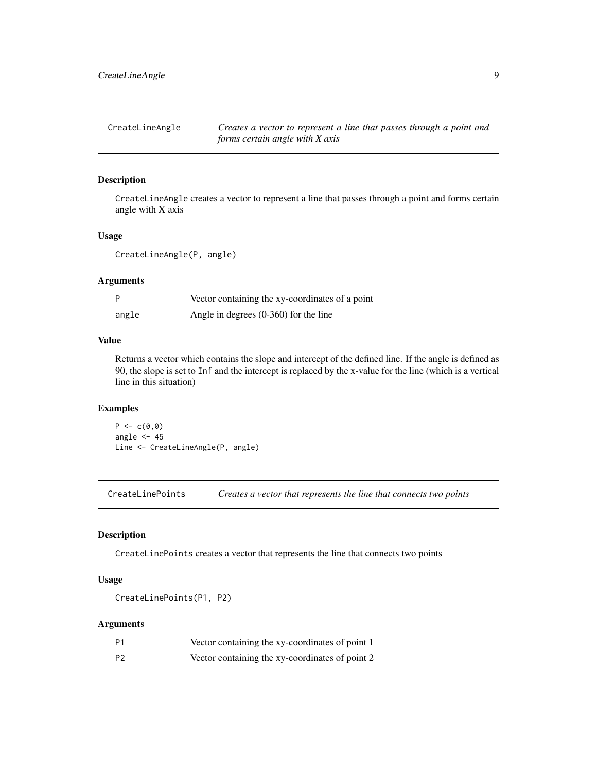<span id="page-8-0"></span>CreateLineAngle *Creates a vector to represent a line that passes through a point and forms certain angle with X axis*

# Description

CreateLineAngle creates a vector to represent a line that passes through a point and forms certain angle with X axis

#### Usage

CreateLineAngle(P, angle)

#### Arguments

|       | Vector containing the xy-coordinates of a point |
|-------|-------------------------------------------------|
| angle | Angle in degrees $(0-360)$ for the line         |

# Value

Returns a vector which contains the slope and intercept of the defined line. If the angle is defined as 90, the slope is set to Inf and the intercept is replaced by the x-value for the line (which is a vertical line in this situation)

# Examples

 $P \leftarrow c(\emptyset, \emptyset)$ angle  $<-45$ Line <- CreateLineAngle(P, angle)

CreateLinePoints *Creates a vector that represents the line that connects two points*

#### Description

CreateLinePoints creates a vector that represents the line that connects two points

# Usage

CreateLinePoints(P1, P2)

| P1 | Vector containing the xy-coordinates of point 1 |
|----|-------------------------------------------------|
| P2 | Vector containing the xy-coordinates of point 2 |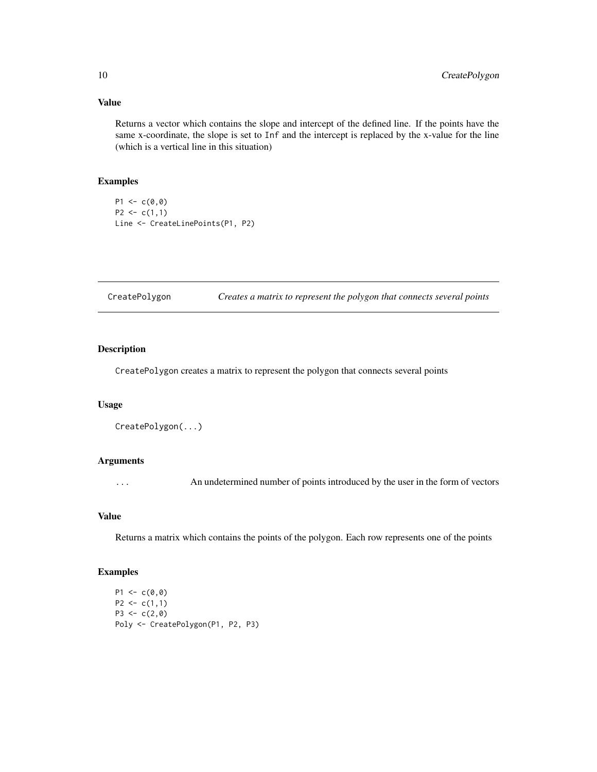# Value

Returns a vector which contains the slope and intercept of the defined line. If the points have the same x-coordinate, the slope is set to Inf and the intercept is replaced by the x-value for the line (which is a vertical line in this situation)

# Examples

 $P1 \leftarrow c(0, 0)$  $P2 \leq c(1,1)$ Line <- CreateLinePoints(P1, P2)

CreatePolygon *Creates a matrix to represent the polygon that connects several points*

# Description

CreatePolygon creates a matrix to represent the polygon that connects several points

#### Usage

```
CreatePolygon(...)
```
# Arguments

... An undetermined number of points introduced by the user in the form of vectors

# Value

Returns a matrix which contains the points of the polygon. Each row represents one of the points

```
P1 \leftarrow c(0, 0)P2 \leq c(1,1)P3 \leq -c(2, 0)Poly <- CreatePolygon(P1, P2, P3)
```
<span id="page-9-0"></span>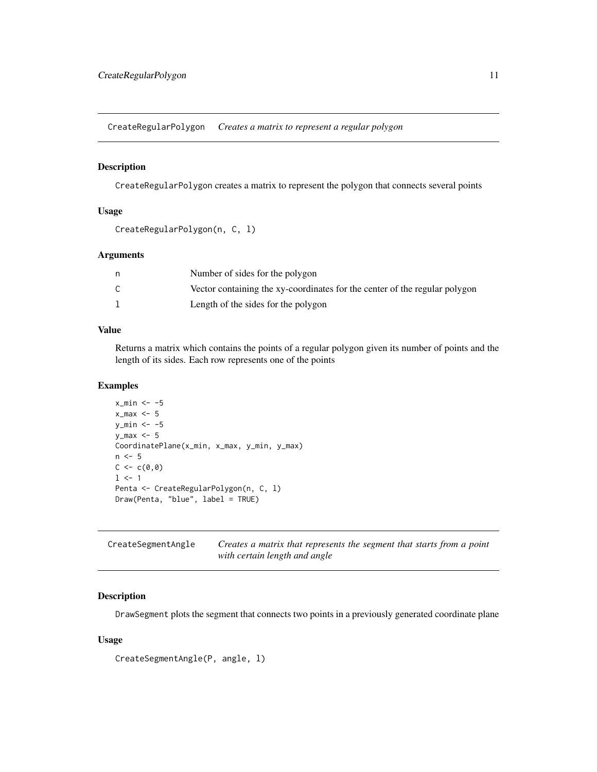<span id="page-10-0"></span>CreateRegularPolygon *Creates a matrix to represent a regular polygon*

# Description

CreateRegularPolygon creates a matrix to represent the polygon that connects several points

#### Usage

```
CreateRegularPolygon(n, C, l)
```
#### Arguments

| Number of sides for the polygon                                            |
|----------------------------------------------------------------------------|
| Vector containing the xy-coordinates for the center of the regular polygon |
| Length of the sides for the polygon                                        |

# Value

Returns a matrix which contains the points of a regular polygon given its number of points and the length of its sides. Each row represents one of the points

# Examples

```
x_{min} < -5x_{max} < -5y_{\text{min}} < -5y_max <- 5
CoordinatePlane(x_min, x_max, y_min, y_max)
n \leq -5C < -c(0, 0)1 \leftarrow 1Penta <- CreateRegularPolygon(n, C, l)
Draw(Penta, "blue", label = TRUE)
```

| CreateSegmentAngle | Creates a matrix that represents the segment that starts from a point |
|--------------------|-----------------------------------------------------------------------|
|                    | with certain length and angle                                         |

#### Description

DrawSegment plots the segment that connects two points in a previously generated coordinate plane

#### Usage

```
CreateSegmentAngle(P, angle, l)
```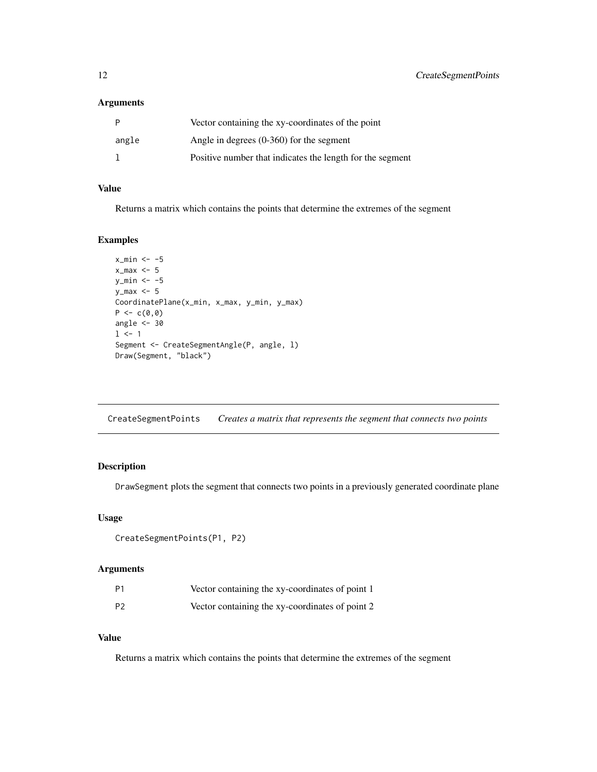#### <span id="page-11-0"></span>Arguments

|       | Vector containing the xy-coordinates of the point         |
|-------|-----------------------------------------------------------|
| angle | Angle in degrees $(0-360)$ for the segment                |
|       | Positive number that indicates the length for the segment |

# Value

Returns a matrix which contains the points that determine the extremes of the segment

# Examples

```
x_{min} < -5x_{max} < -5y_{min} < -5y_max <- 5
CoordinatePlane(x_min, x_max, y_min, y_max)
P \leftarrow c(0, 0)angle <-301 <- 1
Segment <- CreateSegmentAngle(P, angle, l)
Draw(Segment, "black")
```
CreateSegmentPoints *Creates a matrix that represents the segment that connects two points*

# Description

DrawSegment plots the segment that connects two points in a previously generated coordinate plane

## Usage

```
CreateSegmentPoints(P1, P2)
```
#### Arguments

| P1             | Vector containing the xy-coordinates of point 1 |  |
|----------------|-------------------------------------------------|--|
| P <sub>2</sub> | Vector containing the xy-coordinates of point 2 |  |

# Value

Returns a matrix which contains the points that determine the extremes of the segment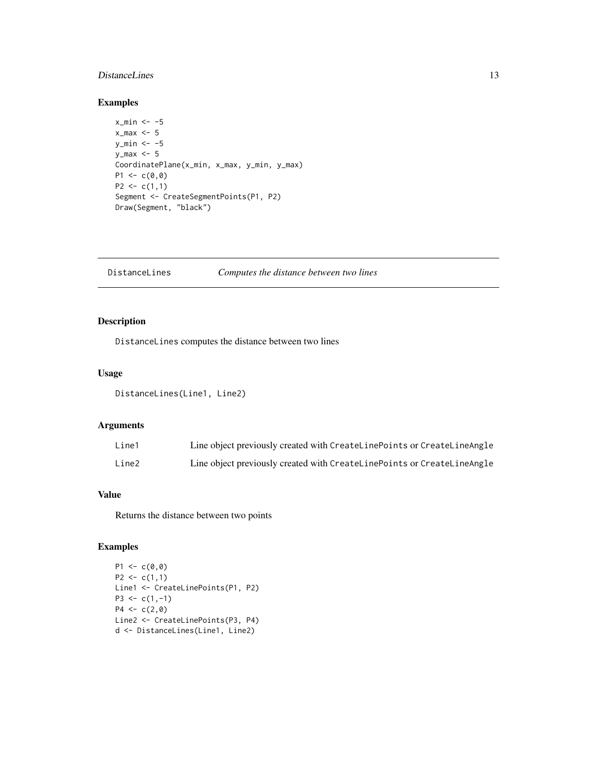# <span id="page-12-0"></span>DistanceLines 13

# Examples

```
x_{min} < -5x_{max} < -5y_{min} < -5y_{max} < -5CoordinatePlane(x_min, x_max, y_min, y_max)
P1 \leq -c(0,0)P2 \leq c(1,1)Segment <- CreateSegmentPoints(P1, P2)
Draw(Segment, "black")
```
# DistanceLines *Computes the distance between two lines*

# Description

DistanceLines computes the distance between two lines

#### Usage

DistanceLines(Line1, Line2)

# Arguments

| Line1 | Line object previously created with CreateLinePoints or CreateLineAngle |
|-------|-------------------------------------------------------------------------|
| Line2 | Line object previously created with CreateLinePoints or CreateLineAngle |

# Value

Returns the distance between two points

```
P1 \leftarrow c(\emptyset, \emptyset)P2 \leq c(1,1)Line1 <- CreateLinePoints(P1, P2)
P3 \leq c(1,-1)P4 \leq -c(2, 0)Line2 <- CreateLinePoints(P3, P4)
d <- DistanceLines(Line1, Line2)
```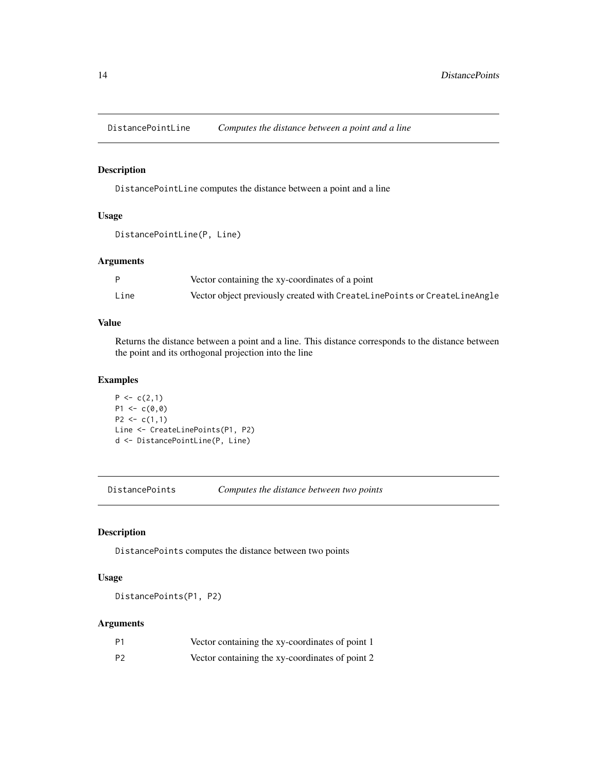<span id="page-13-0"></span>DistancePointLine *Computes the distance between a point and a line*

# Description

DistancePointLine computes the distance between a point and a line

#### Usage

```
DistancePointLine(P, Line)
```
#### Arguments

|      | Vector containing the xy-coordinates of a point                           |
|------|---------------------------------------------------------------------------|
| Line | Vector object previously created with CreateLinePoints or CreateLineAngle |

# Value

Returns the distance between a point and a line. This distance corresponds to the distance between the point and its orthogonal projection into the line

#### Examples

```
P \leftarrow c(2,1)P1 \leq -c(0,0)P2 \leq c(1,1)Line <- CreateLinePoints(P1, P2)
d <- DistancePointLine(P, Line)
```
DistancePoints *Computes the distance between two points*

#### Description

DistancePoints computes the distance between two points

# Usage

DistancePoints(P1, P2)

| Ρ1 | Vector containing the xy-coordinates of point 1 |
|----|-------------------------------------------------|
| P2 | Vector containing the xy-coordinates of point 2 |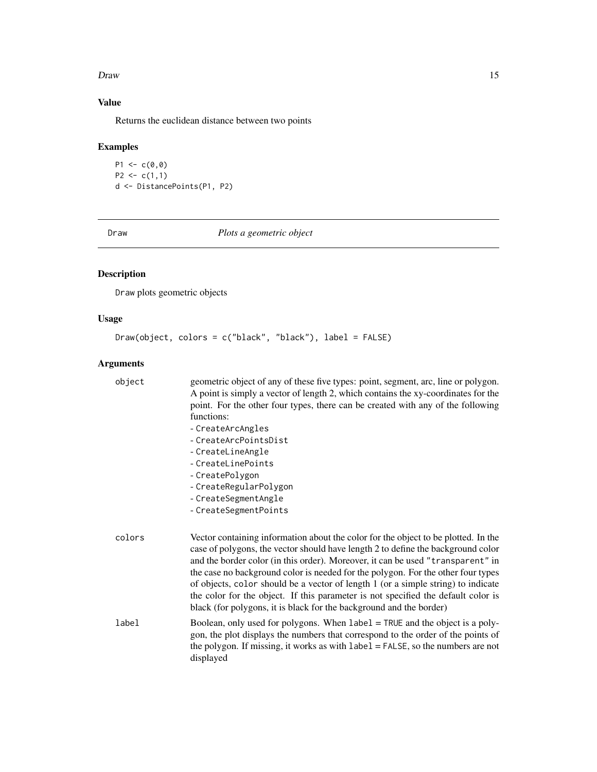#### <span id="page-14-0"></span>Draw 15

# Value

Returns the euclidean distance between two points

# Examples

 $P1 < -c(0, 0)$  $P2 \leq c(1,1)$ d <- DistancePoints(P1, P2)

Draw *Plots a geometric object*

# Description

Draw plots geometric objects

# Usage

```
Draw(object, colors = c("black", "black"), label = FALSE)
```

| object | geometric object of any of these five types: point, segment, arc, line or polygon.<br>A point is simply a vector of length 2, which contains the xy-coordinates for the<br>point. For the other four types, there can be created with any of the following<br>functions:<br>- CreateArcAngles<br>- CreateArcPointsDist<br>- CreateLineAngle<br>- CreateLinePoints<br>- CreatePolygon<br>- CreateRegularPolygon<br>- CreateSegmentAngle<br>- CreateSegmentPoints                                                                                                                                |
|--------|------------------------------------------------------------------------------------------------------------------------------------------------------------------------------------------------------------------------------------------------------------------------------------------------------------------------------------------------------------------------------------------------------------------------------------------------------------------------------------------------------------------------------------------------------------------------------------------------|
| colors | Vector containing information about the color for the object to be plotted. In the<br>case of polygons, the vector should have length 2 to define the background color<br>and the border color (in this order). Moreover, it can be used "transparent" in<br>the case no background color is needed for the polygon. For the other four types<br>of objects, color should be a vector of length 1 (or a simple string) to indicate<br>the color for the object. If this parameter is not specified the default color is<br>black (for polygons, it is black for the background and the border) |
| label  | Boolean, only used for polygons. When label = TRUE and the object is a poly-<br>gon, the plot displays the numbers that correspond to the order of the points of<br>the polygon. If missing, it works as with $label = FALSE$ , so the numbers are not<br>displayed                                                                                                                                                                                                                                                                                                                            |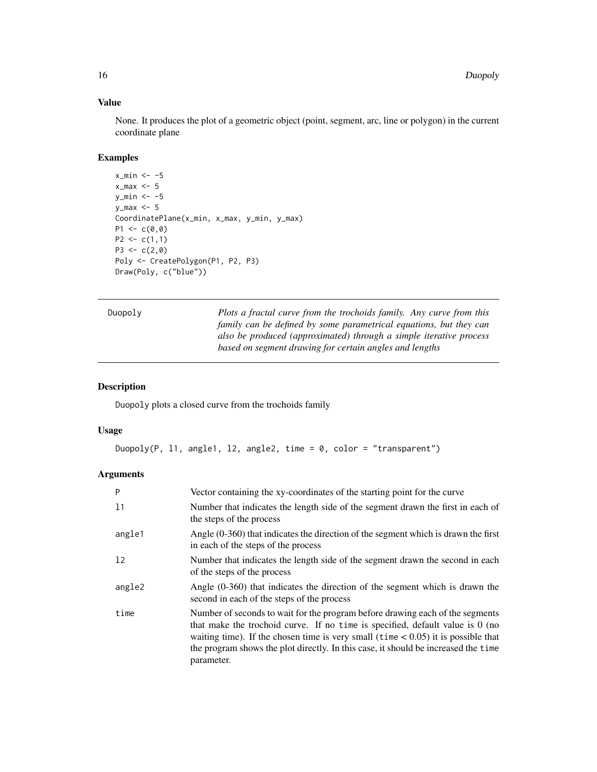# Value

None. It produces the plot of a geometric object (point, segment, arc, line or polygon) in the current coordinate plane

# Examples

```
x_{min} < -5x_{max} < -5y_{min} < -5y_max <- 5
CoordinatePlane(x_min, x_max, y_min, y_max)
P1 <-c(0,0)P2 \leq c(1,1)P3 \leq -c(2, 0)Poly <- CreatePolygon(P1, P2, P3)
Draw(Poly, c("blue"))
```
Duopoly *Plots a fractal curve from the trochoids family. Any curve from this family can be defined by some parametrical equations, but they can also be produced (approximated) through a simple iterative process based on segment drawing for certain angles and lengths*

# Description

Duopoly plots a closed curve from the trochoids family

#### Usage

Duopoly(P, 11, angle1, 12, angle2, time = 0, color = "transparent")

| P      | Vector containing the xy-coordinates of the starting point for the curve                                                                                                                                                                                                                                                                                     |
|--------|--------------------------------------------------------------------------------------------------------------------------------------------------------------------------------------------------------------------------------------------------------------------------------------------------------------------------------------------------------------|
| 11     | Number that indicates the length side of the segment drawn the first in each of<br>the steps of the process                                                                                                                                                                                                                                                  |
| angle1 | Angle $(0-360)$ that indicates the direction of the segment which is drawn the first<br>in each of the steps of the process                                                                                                                                                                                                                                  |
| 12     | Number that indicates the length side of the segment drawn the second in each<br>of the steps of the process                                                                                                                                                                                                                                                 |
| angle2 | Angle $(0-360)$ that indicates the direction of the segment which is drawn the<br>second in each of the steps of the process                                                                                                                                                                                                                                 |
| time   | Number of seconds to wait for the program before drawing each of the segments<br>that make the trochoid curve. If no time is specified, default value is $0$ (no<br>waiting time). If the chosen time is very small ( $\times$ 0.05) it is possible that<br>the program shows the plot directly. In this case, it should be increased the time<br>parameter. |

<span id="page-15-0"></span>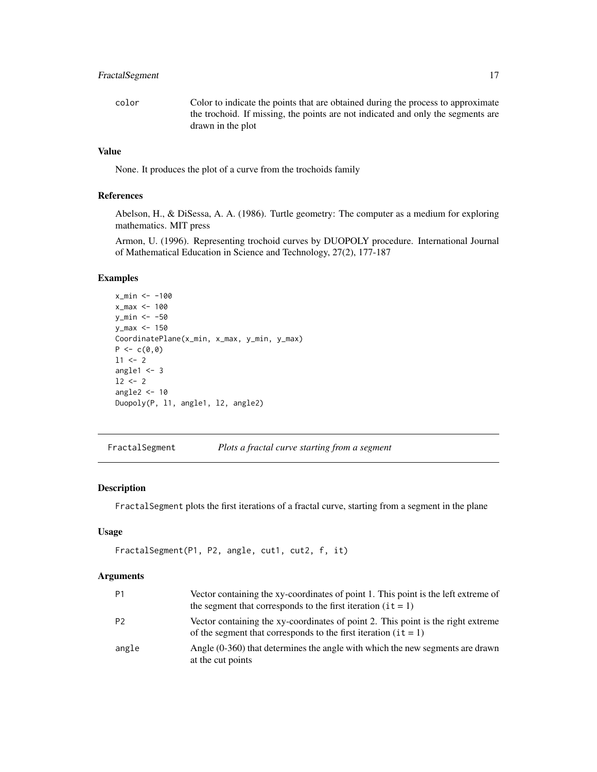# <span id="page-16-0"></span>FractalSegment 17

color Color to indicate the points that are obtained during the process to approximate the trochoid. If missing, the points are not indicated and only the segments are drawn in the plot

# Value

None. It produces the plot of a curve from the trochoids family

#### References

Abelson, H., & DiSessa, A. A. (1986). Turtle geometry: The computer as a medium for exploring mathematics. MIT press

Armon, U. (1996). Representing trochoid curves by DUOPOLY procedure. International Journal of Mathematical Education in Science and Technology, 27(2), 177-187

# Examples

```
x_min <- -100
x_{max} < -100y_min <- -50
y_max <- 150
CoordinatePlane(x_min, x_max, y_min, y_max)
P \leftarrow c(0, 0)11 <- 2
angle1 < -312 < -2angle2 <- 10
Duopoly(P, l1, angle1, l2, angle2)
```
FractalSegment *Plots a fractal curve starting from a segment*

#### Description

FractalSegment plots the first iterations of a fractal curve, starting from a segment in the plane

#### Usage

```
FractalSegment(P1, P2, angle, cut1, cut2, f, it)
```

| P1    | Vector containing the xy-coordinates of point 1. This point is the left extreme of<br>the segment that corresponds to the first iteration $(it = 1)$    |
|-------|---------------------------------------------------------------------------------------------------------------------------------------------------------|
| P2    | Vector containing the xy-coordinates of point 2. This point is the right extreme<br>of the segment that corresponds to the first iteration ( $it = 1$ ) |
| angle | Angle (0-360) that determines the angle with which the new segments are drawn<br>at the cut points                                                      |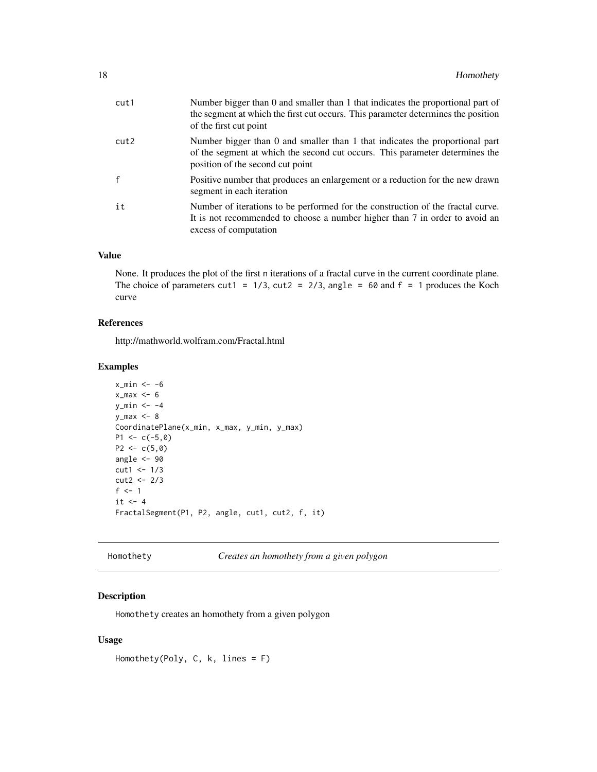<span id="page-17-0"></span>

| Number bigger than 0 and smaller than 1 that indicates the proportional part of<br>the segment at which the first cut occurs. This parameter determines the position<br>of the first cut point   |
|--------------------------------------------------------------------------------------------------------------------------------------------------------------------------------------------------|
| Number bigger than 0 and smaller than 1 that indicates the proportional part<br>of the segment at which the second cut occurs. This parameter determines the<br>position of the second cut point |
| Positive number that produces an enlargement or a reduction for the new drawn<br>segment in each iteration                                                                                       |
| Number of iterations to be performed for the construction of the fractal curve.<br>It is not recommended to choose a number higher than 7 in order to avoid an<br>excess of computation          |
|                                                                                                                                                                                                  |

# Value

None. It produces the plot of the first n iterations of a fractal curve in the current coordinate plane. The choice of parameters cut1 =  $1/3$ , cut2 =  $2/3$ , angle =  $60$  and f = 1 produces the Koch curve

# References

http://mathworld.wolfram.com/Fractal.html

#### Examples

```
x_{min} < -6x_max <-6y_min <- -4
y_max < -8CoordinatePlane(x_min, x_max, y_min, y_max)
P1 <- c(-5, 0)P2 \leq -c(5,0)angle <- 90
cut1 <- 1/3
cut2 <- 2/3
f \leq -1it \leftarrow 4FractalSegment(P1, P2, angle, cut1, cut2, f, it)
```

```
Homothety Creates an homothety from a given polygon
```
# Description

Homothety creates an homothety from a given polygon

#### Usage

```
Homothety(Poly, C, k, lines = F)
```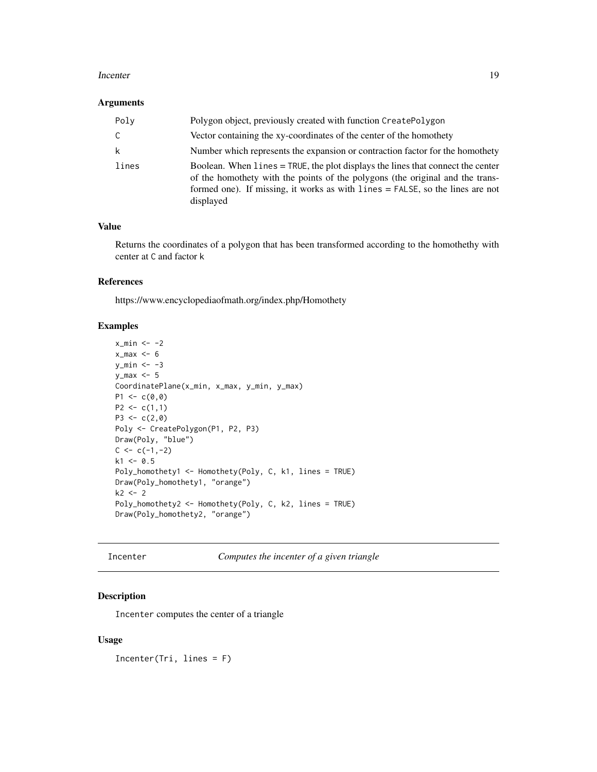#### <span id="page-18-0"></span>Incenter 19

#### Arguments

| Poly  | Polygon object, previously created with function CreatePolygon                                                                                                                                                                                                 |
|-------|----------------------------------------------------------------------------------------------------------------------------------------------------------------------------------------------------------------------------------------------------------------|
| C     | Vector containing the xy-coordinates of the center of the homothety                                                                                                                                                                                            |
| k     | Number which represents the expansion or contraction factor for the homothety                                                                                                                                                                                  |
| lines | Boolean. When lines = TRUE, the plot displays the lines that connect the center<br>of the homothety with the points of the polygons (the original and the trans-<br>formed one). If missing, it works as with lines = FALSE, so the lines are not<br>displayed |

# Value

Returns the coordinates of a polygon that has been transformed according to the homothethy with center at C and factor k

# References

https://www.encyclopediaofmath.org/index.php/Homothety

#### Examples

```
x_{min} < -2x_{max} < -6y_{min} < -3y_max \leq 5CoordinatePlane(x_min, x_max, y_min, y_max)
P1 \leftarrow c(0, 0)P2 \leq c(1,1)P3 <- c(2,0)Poly <- CreatePolygon(P1, P2, P3)
Draw(Poly, "blue")
C < -c(-1, -2)k1 < -0.5Poly_homothety1 <- Homothety(Poly, C, k1, lines = TRUE)
Draw(Poly_homothety1, "orange")
k2 < -2Poly_homothety2 <- Homothety(Poly, C, k2, lines = TRUE)
Draw(Poly_homothety2, "orange")
```
Incenter *Computes the incenter of a given triangle*

# Description

Incenter computes the center of a triangle

#### Usage

Incenter(Tri, lines = F)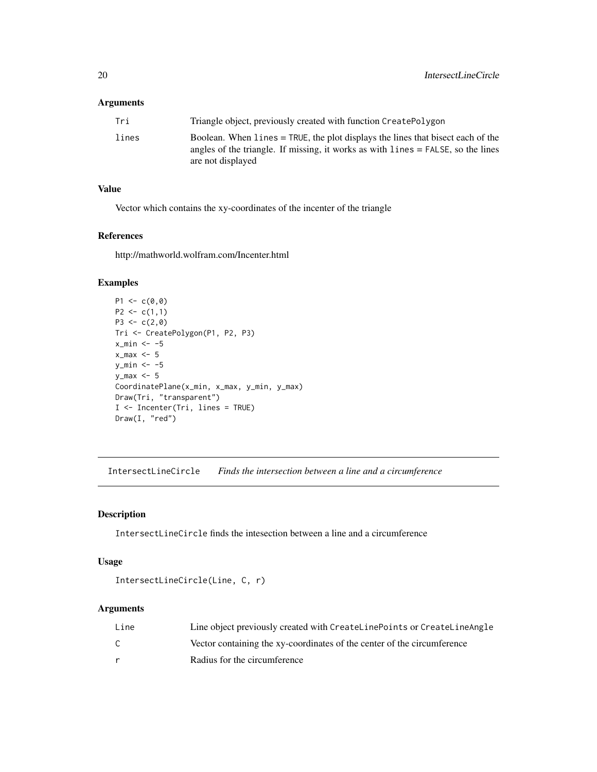#### <span id="page-19-0"></span>Arguments

| Tri   | Triangle object, previously created with function CreatePolygon                                                                                                                             |
|-------|---------------------------------------------------------------------------------------------------------------------------------------------------------------------------------------------|
| lines | Boolean. When lines = TRUE, the plot displays the lines that bisect each of the<br>angles of the triangle. If missing, it works as with $lines = FALSE$ , so the lines<br>are not displayed |

# Value

Vector which contains the xy-coordinates of the incenter of the triangle

# References

http://mathworld.wolfram.com/Incenter.html

#### Examples

```
P1 \leftarrow c(0, 0)P2 \leq c(1,1)P3 \leq -c(2,0)Tri <- CreatePolygon(P1, P2, P3)
x_{min} < -5x_{max} < -5y_{\text{min}} < -5y_max <- 5
CoordinatePlane(x_min, x_max, y_min, y_max)
Draw(Tri, "transparent")
I <- Incenter(Tri, lines = TRUE)
Draw(I, "red")
```
IntersectLineCircle *Finds the intersection between a line and a circumference*

# Description

IntersectLineCircle finds the intesection between a line and a circumference

#### Usage

```
IntersectLineCircle(Line, C, r)
```

| Line | Line object previously created with CreateLinePoints or CreateLineAngle |
|------|-------------------------------------------------------------------------|
| ⌒    | Vector containing the xy-coordinates of the center of the circumference |
|      | Radius for the circumference                                            |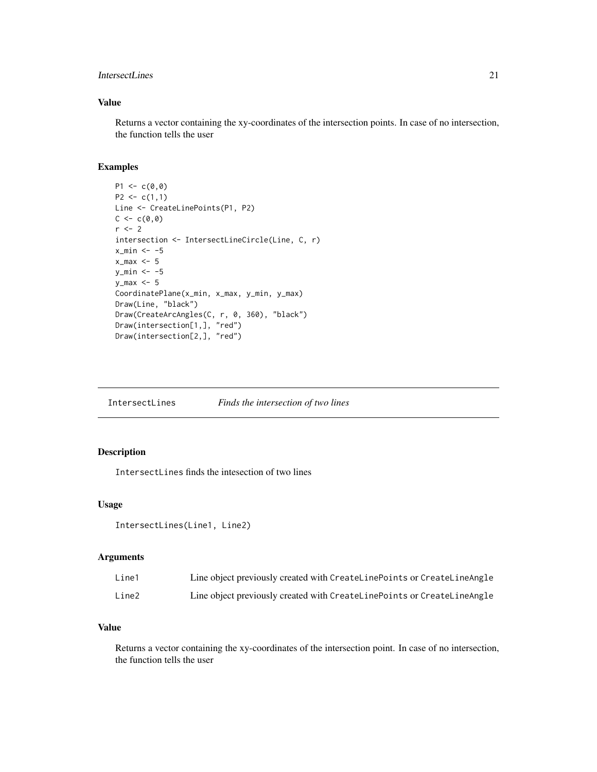#### <span id="page-20-0"></span>IntersectLines 21

# Value

Returns a vector containing the xy-coordinates of the intersection points. In case of no intersection, the function tells the user

# Examples

```
P1 \leftarrow c(0, 0)P2 \leq c(1,1)Line <- CreateLinePoints(P1, P2)
C < -c(0, 0)r <- 2
intersection <- IntersectLineCircle(Line, C, r)
x_{min} < -5x_{max} < -5y_{min} < -5y_{max} < -5CoordinatePlane(x_min, x_max, y_min, y_max)
Draw(Line, "black")
Draw(CreateArcAngles(C, r, 0, 360), "black")
Draw(intersection[1,], "red")
Draw(intersection[2,], "red")
```
IntersectLines *Finds the intersection of two lines*

# Description

IntersectLines finds the intesection of two lines

#### Usage

```
IntersectLines(Line1, Line2)
```
#### Arguments

| Line1 | Line object previously created with CreateLinePoints or CreateLineAngle |
|-------|-------------------------------------------------------------------------|
| Line2 | Line object previously created with CreateLinePoints or CreateLineAngle |

# Value

Returns a vector containing the xy-coordinates of the intersection point. In case of no intersection, the function tells the user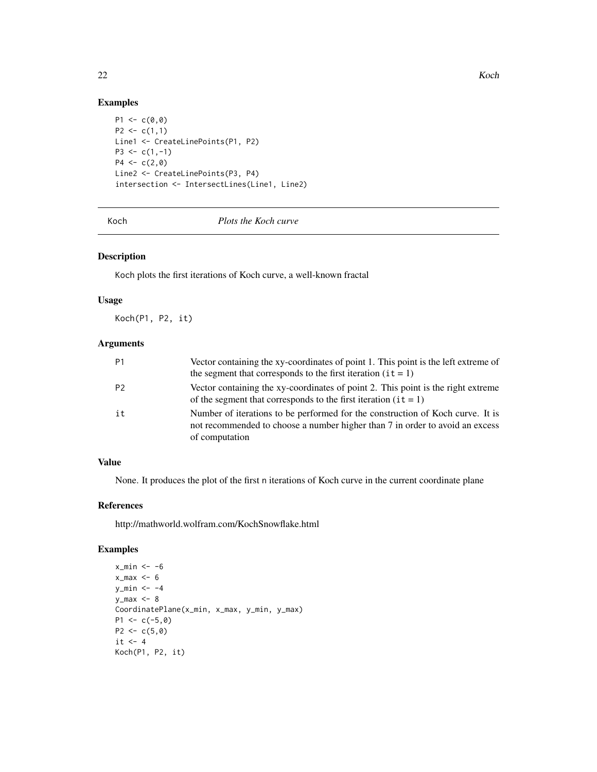# Examples

```
P1 \leq -c(0, 0)P2 \leq c(1,1)Line1 <- CreateLinePoints(P1, P2)
P3 \leq c(1,-1)P4 \leq -c(2,0)Line2 <- CreateLinePoints(P3, P4)
intersection <- IntersectLines(Line1, Line2)
```
Koch *Plots the Koch curve*

# Description

Koch plots the first iterations of Koch curve, a well-known fractal

#### Usage

Koch(P1, P2, it)

# Arguments

| P <sub>1</sub> | Vector containing the xy-coordinates of point 1. This point is the left extreme of<br>the segment that corresponds to the first iteration $(it = 1)$                             |
|----------------|----------------------------------------------------------------------------------------------------------------------------------------------------------------------------------|
| P <sub>2</sub> | Vector containing the xy-coordinates of point 2. This point is the right extreme<br>of the segment that corresponds to the first iteration $(it = 1)$                            |
| it             | Number of iterations to be performed for the construction of Koch curve. It is<br>not recommended to choose a number higher than 7 in order to avoid an excess<br>of computation |

# Value

None. It produces the plot of the first n iterations of Koch curve in the current coordinate plane

### References

http://mathworld.wolfram.com/KochSnowflake.html

```
x_{min} < -6x_{max} < -6y_{\text{min}} < -4y_max < -8CoordinatePlane(x_min, x_max, y_min, y_max)
P1 <- c(-5,0)
P2 <- c(5,0)it \leftarrow 4Koch(P1, P2, it)
```
<span id="page-21-0"></span>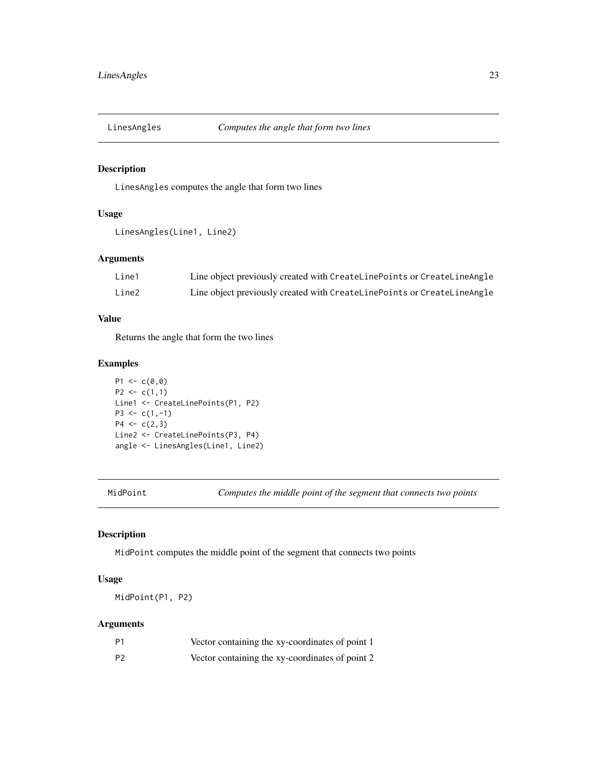<span id="page-22-0"></span>

# Description

LinesAngles computes the angle that form two lines

# Usage

```
LinesAngles(Line1, Line2)
```
### Arguments

| Line1 | Line object previously created with CreateLinePoints or CreateLineAngle |
|-------|-------------------------------------------------------------------------|
| Line2 | Line object previously created with CreateLinePoints or CreateLineAngle |

### Value

Returns the angle that form the two lines

# Examples

```
P1 \leftarrow c(0, 0)P2 \leq c(1,1)Line1 <- CreateLinePoints(P1, P2)
P3 \leq c(1,-1)P4 \leq c(2,3)Line2 <- CreateLinePoints(P3, P4)
angle <- LinesAngles(Line1, Line2)
```
MidPoint *Computes the middle point of the segment that connects two points*

# Description

MidPoint computes the middle point of the segment that connects two points

# Usage

MidPoint(P1, P2)

| P1             | Vector containing the xy-coordinates of point 1 |
|----------------|-------------------------------------------------|
| P <sub>2</sub> | Vector containing the xy-coordinates of point 2 |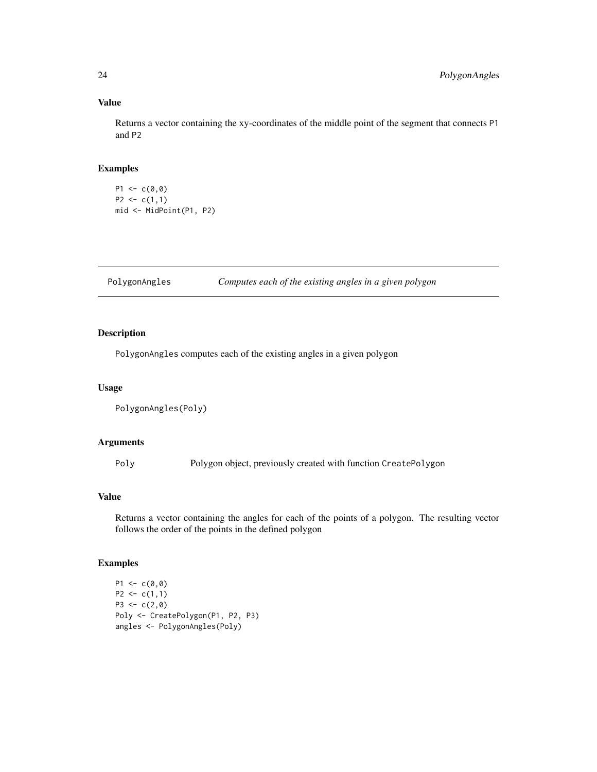# Value

Returns a vector containing the xy-coordinates of the middle point of the segment that connects P1 and P2

# Examples

 $P1 \leftarrow c(0, 0)$  $P2 \leq c(1,1)$ mid <- MidPoint(P1, P2)

PolygonAngles *Computes each of the existing angles in a given polygon*

# Description

PolygonAngles computes each of the existing angles in a given polygon

#### Usage

```
PolygonAngles(Poly)
```
#### Arguments

Poly Polygon object, previously created with function CreatePolygon

#### Value

Returns a vector containing the angles for each of the points of a polygon. The resulting vector follows the order of the points in the defined polygon

```
P1 \leftarrow c(0, 0)P2 \leq c(1,1)P3 \leq -c(2, 0)Poly <- CreatePolygon(P1, P2, P3)
angles <- PolygonAngles(Poly)
```
<span id="page-23-0"></span>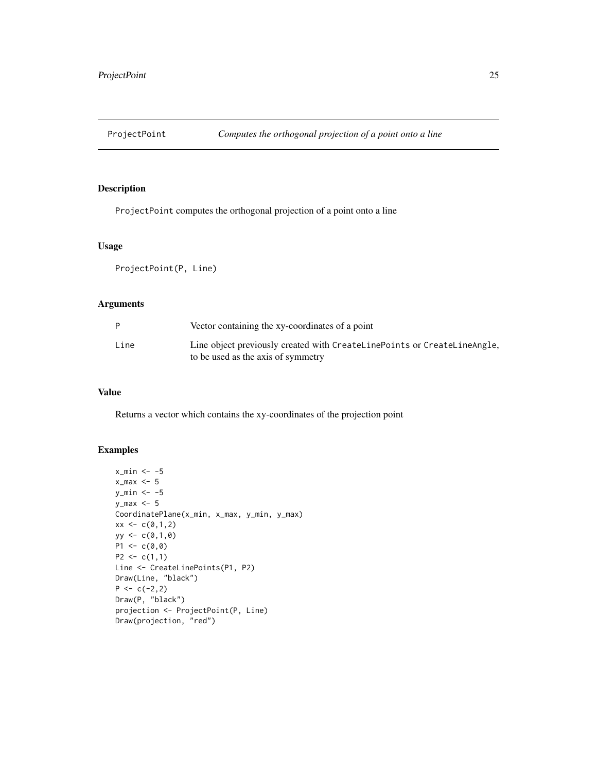<span id="page-24-0"></span>

# Description

ProjectPoint computes the orthogonal projection of a point onto a line

#### Usage

ProjectPoint(P, Line)

# Arguments

|      | Vector containing the xy-coordinates of a point                          |
|------|--------------------------------------------------------------------------|
| Line | Line object previously created with CreateLinePoints or CreateLineAngle. |
|      | to be used as the axis of symmetry                                       |

# Value

Returns a vector which contains the xy-coordinates of the projection point

```
x_{min} < -5x_{max} < -5y_{min} < -5y_max <- 5
CoordinatePlane(x_min, x_max, y_min, y_max)
xx < -c(0,1,2)yy <- c(0,1,0)
P1 \leftarrow c(0,0)P2 \leq c(1,1)Line <- CreateLinePoints(P1, P2)
Draw(Line, "black")
P \leftarrow c(-2, 2)Draw(P, "black")
projection <- ProjectPoint(P, Line)
Draw(projection, "red")
```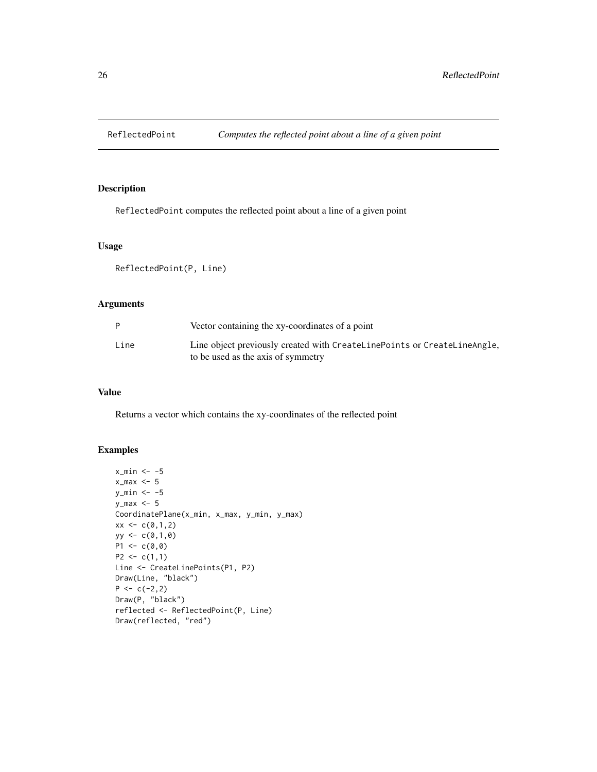<span id="page-25-0"></span>

#### Description

ReflectedPoint computes the reflected point about a line of a given point

#### Usage

ReflectedPoint(P, Line)

# Arguments

|      | Vector containing the xy-coordinates of a point                          |
|------|--------------------------------------------------------------------------|
| Line | Line object previously created with CreateLinePoints or CreateLineAngle, |
|      | to be used as the axis of symmetry                                       |

# Value

Returns a vector which contains the xy-coordinates of the reflected point

```
x_{min} < -5x_{max} < -5y_min <-5y_max <- 5
CoordinatePlane(x_min, x_max, y_min, y_max)
xx < -c(0,1,2)yy <- c(0,1,0)
P1 \leftarrow c(0,0)P2 \leq c(1,1)Line <- CreateLinePoints(P1, P2)
Draw(Line, "black")
P \leftarrow c(-2, 2)Draw(P, "black")
reflected <- ReflectedPoint(P, Line)
Draw(reflected, "red")
```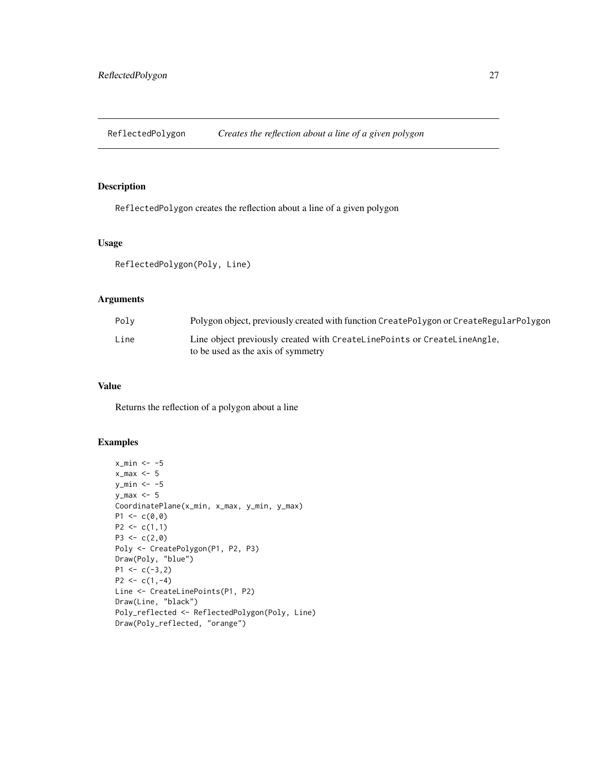<span id="page-26-0"></span>ReflectedPolygon *Creates the reflection about a line of a given polygon*

# Description

ReflectedPolygon creates the reflection about a line of a given polygon

#### Usage

ReflectedPolygon(Poly, Line)

# Arguments

| Polv | Polygon object, previously created with function CreatePolygon or CreateRegularPolygon                         |
|------|----------------------------------------------------------------------------------------------------------------|
| Line | Line object previously created with CreateLinePoints or CreateLineAngle,<br>to be used as the axis of symmetry |

# Value

Returns the reflection of a polygon about a line

```
x_{min} < -5x_{max} < -5y_{min} < -5y_max <- 5
CoordinatePlane(x_min, x_max, y_min, y_max)
P1 \leq -c(0,0)P2 \leq -c(1,1)P3 \leq -c(2, 0)Poly <- CreatePolygon(P1, P2, P3)
Draw(Poly, "blue")
P1 \leftarrow c(-3, 2)P2 \leq c(1,-4)Line <- CreateLinePoints(P1, P2)
Draw(Line, "black")
Poly_reflected <- ReflectedPolygon(Poly, Line)
Draw(Poly_reflected, "orange")
```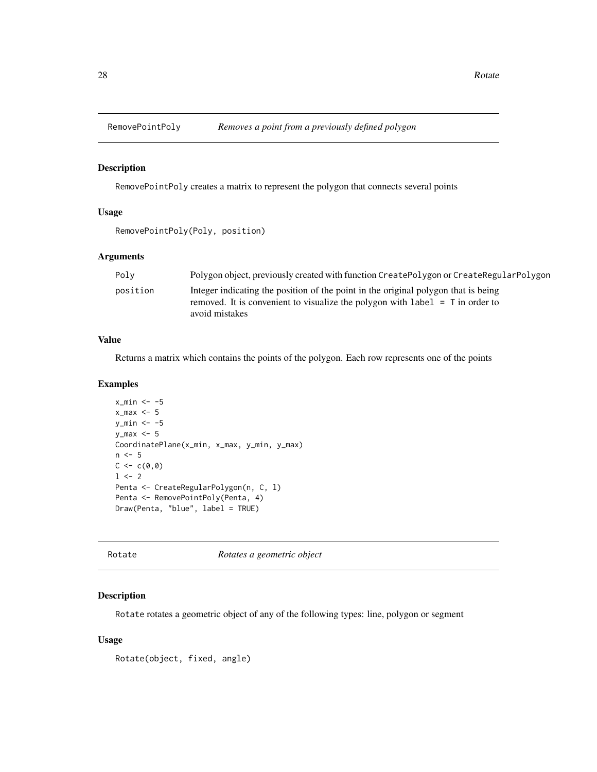<span id="page-27-0"></span>

#### Description

RemovePointPoly creates a matrix to represent the polygon that connects several points

#### Usage

```
RemovePointPoly(Poly, position)
```
# Arguments

| Poly     | Polygon object, previously created with function CreatePolygon or CreateRegularPolygon                                                                                                  |
|----------|-----------------------------------------------------------------------------------------------------------------------------------------------------------------------------------------|
| position | Integer indicating the position of the point in the original polygon that is being<br>removed. It is convenient to visualize the polygon with label $=$ T in order to<br>avoid mistakes |

#### Value

Returns a matrix which contains the points of the polygon. Each row represents one of the points

#### Examples

```
x_{min} < -5x_{max} < -5y_min <- -5
y_max <- 5
CoordinatePlane(x_min, x_max, y_min, y_max)
n < -5C < -c(0, 0)1 <- 2
Penta <- CreateRegularPolygon(n, C, l)
Penta <- RemovePointPoly(Penta, 4)
Draw(Penta, "blue", label = TRUE)
```
Rotate *Rotates a geometric object*

#### Description

Rotate rotates a geometric object of any of the following types: line, polygon or segment

#### Usage

Rotate(object, fixed, angle)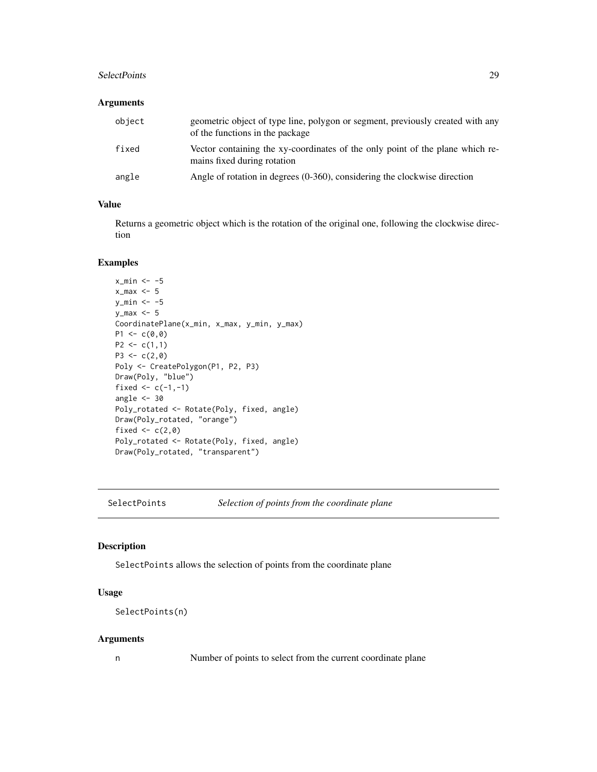#### <span id="page-28-0"></span>SelectPoints 29

#### Arguments

| object | geometric object of type line, polygon or segment, previously created with any<br>of the functions in the package |
|--------|-------------------------------------------------------------------------------------------------------------------|
| fixed  | Vector containing the xy-coordinates of the only point of the plane which re-<br>mains fixed during rotation      |
| angle  | Angle of rotation in degrees $(0-360)$ , considering the clockwise direction                                      |

# Value

Returns a geometric object which is the rotation of the original one, following the clockwise direction

#### Examples

```
x_{min} < -5x_{max} < -5y_min <- -5
y_max <- 5
CoordinatePlane(x_min, x_max, y_min, y_max)
P1 \leq -c(0, 0)P2 \leq c(1,1)P3 \leq -c(2,0)Poly <- CreatePolygon(P1, P2, P3)
Draw(Poly, "blue")
fixed <-c(-1,-1)angle <-30Poly_rotated <- Rotate(Poly, fixed, angle)
Draw(Poly_rotated, "orange")
fixed \leftarrow c(2,0)
Poly_rotated <- Rotate(Poly, fixed, angle)
Draw(Poly_rotated, "transparent")
```
SelectPoints *Selection of points from the coordinate plane*

# Description

SelectPoints allows the selection of points from the coordinate plane

#### Usage

```
SelectPoints(n)
```
## Arguments

n Number of points to select from the current coordinate plane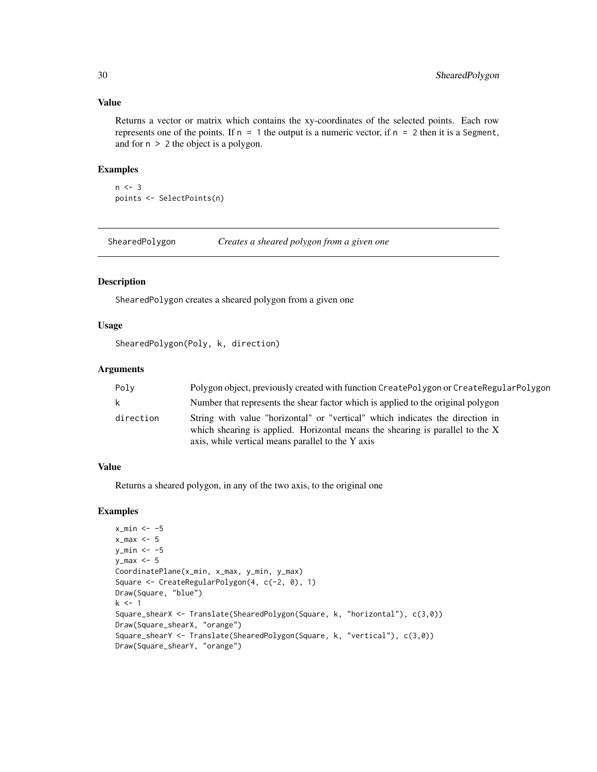#### Value

Returns a vector or matrix which contains the xy-coordinates of the selected points. Each row represents one of the points. If  $n = 1$  the output is a numeric vector, if  $n = 2$  then it is a Segment, and for n > 2 the object is a polygon.

#### Examples

```
n < -3points <- SelectPoints(n)
```
ShearedPolygon *Creates a sheared polygon from a given one*

#### Description

ShearedPolygon creates a sheared polygon from a given one

# Usage

ShearedPolygon(Poly, k, direction)

#### Arguments

| Poly      | Polygon object, previously created with function CreatePolygon or CreateRegularPolygon                                                                                                                              |
|-----------|---------------------------------------------------------------------------------------------------------------------------------------------------------------------------------------------------------------------|
| k         | Number that represents the shear factor which is applied to the original polygon                                                                                                                                    |
| direction | String with value "horizontal" or "vertical" which indicates the direction in<br>which shearing is applied. Horizontal means the shearing is parallel to the X<br>axis, while vertical means parallel to the Y axis |

#### Value

Returns a sheared polygon, in any of the two axis, to the original one

```
x_min <- -5
x_{max} < -5y_{min} < -5y_max < -5CoordinatePlane(x_min, x_max, y_min, y_max)
Square <- CreateRegularPolygon(4, c(-2, 0), 1)
Draw(Square, "blue")
k \leq -1Square_shearX <- Translate(ShearedPolygon(Square, k, "horizontal"), c(3,0))
Draw(Square_shearX, "orange")
Square_shearY <- Translate(ShearedPolygon(Square, k, "vertical"), c(3,0))
Draw(Square_shearY, "orange")
```
<span id="page-29-0"></span>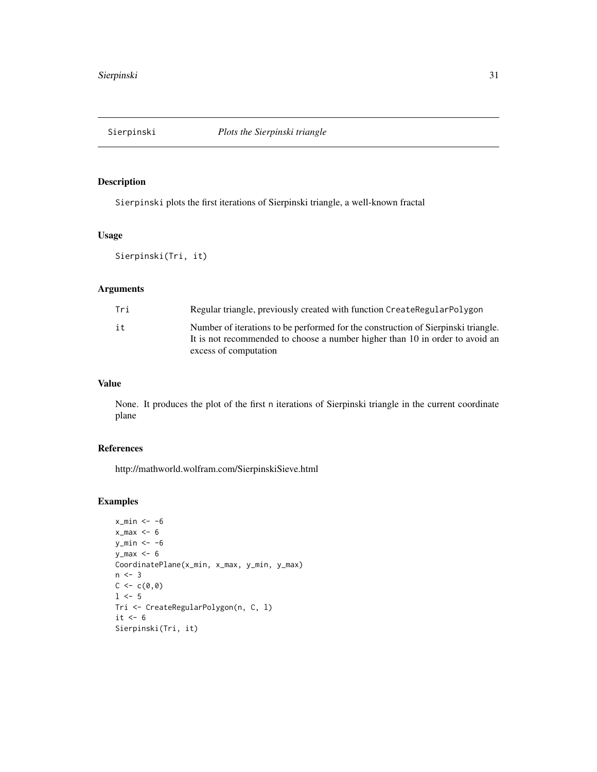<span id="page-30-0"></span>

# Description

Sierpinski plots the first iterations of Sierpinski triangle, a well-known fractal

# Usage

Sierpinski(Tri, it)

# Arguments

| Tri | Regular triangle, previously created with function CreateRegularPolygon                                                                                                                    |
|-----|--------------------------------------------------------------------------------------------------------------------------------------------------------------------------------------------|
| it  | Number of iterations to be performed for the construction of Sierpinski triangle.<br>It is not recommended to choose a number higher than 10 in order to avoid an<br>excess of computation |

#### Value

None. It produces the plot of the first n iterations of Sierpinski triangle in the current coordinate plane

# References

http://mathworld.wolfram.com/SierpinskiSieve.html

```
x_{min} < -6x_{max} < -6y_{min} < -6y_max < -6CoordinatePlane(x_min, x_max, y_min, y_max)
n \leq -3C < -c(0, 0)1 < -5Tri <- CreateRegularPolygon(n, C, l)
it < -6Sierpinski(Tri, it)
```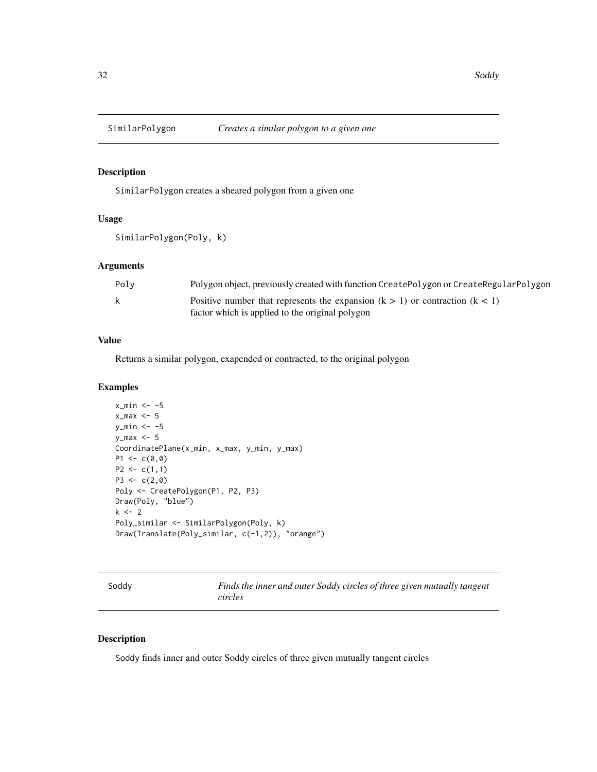<span id="page-31-0"></span>

# Description

SimilarPolygon creates a sheared polygon from a given one

#### Usage

```
SimilarPolygon(Poly, k)
```
# Arguments

| Polv | Polygon object, previously created with function CreatePolygon or CreateRegularPolygon |
|------|----------------------------------------------------------------------------------------|
| k    | Positive number that represents the expansion $(k > 1)$ or contraction $(k < 1)$       |
|      | factor which is applied to the original polygon                                        |

# Value

Returns a similar polygon, exapended or contracted, to the original polygon

#### Examples

```
x_{min} < -5x_{max} < -5y_{min} < -5y_max <- 5
CoordinatePlane(x_min, x_max, y_min, y_max)
P1 \leq -c(0,0)P2 \leq -c(1,1)P3 <- c(2,0)Poly <- CreatePolygon(P1, P2, P3)
Draw(Poly, "blue")
k < -2Poly_similar <- SimilarPolygon(Poly, k)
Draw(Translate(Poly_similar, c(-1,2)), "orange")
```
Soddy *Finds the inner and outer Soddy circles of three given mutually tangent circles*

## Description

Soddy finds inner and outer Soddy circles of three given mutually tangent circles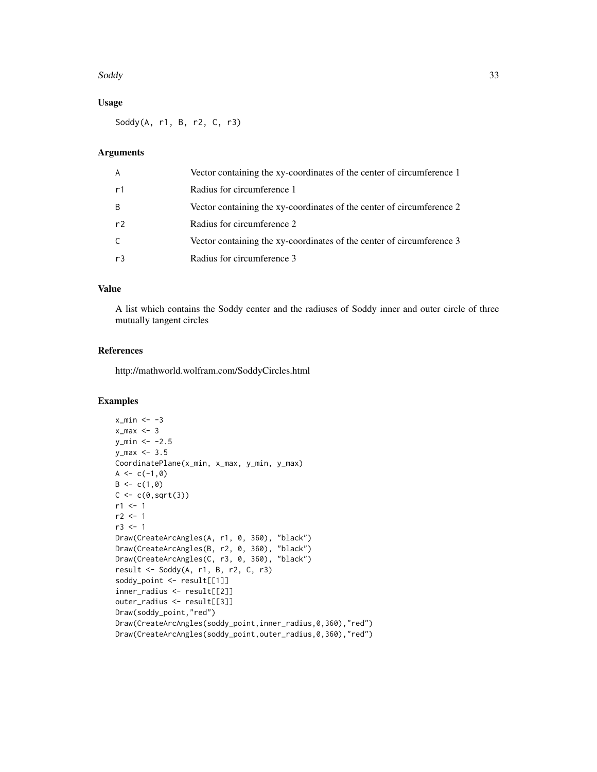#### Soddy 33

# Usage

Soddy(A, r1, B, r2, C, r3)

# Arguments

| A              | Vector containing the xy-coordinates of the center of circumference 1 |
|----------------|-----------------------------------------------------------------------|
| r1             | Radius for circumference 1                                            |
| B              | Vector containing the xy-coordinates of the center of circumference 2 |
| r <sup>2</sup> | Radius for circumference 2                                            |
| C.             | Vector containing the xy-coordinates of the center of circumference 3 |
| r3             | Radius for circumference 3                                            |

# Value

A list which contains the Soddy center and the radiuses of Soddy inner and outer circle of three mutually tangent circles

#### References

http://mathworld.wolfram.com/SoddyCircles.html

```
x_{min} < -3x_{max} < -3y_{min} < -2.5y_{max} < -3.5CoordinatePlane(x_min, x_max, y_min, y_max)
A \leftarrow c(-1, 0)B \leftarrow c(1, 0)C \leftarrow c(\emptyset, sqrt(3))r1 < -1r2 < -1r3 < -1Draw(CreateArcAngles(A, r1, 0, 360), "black")
Draw(CreateArcAngles(B, r2, 0, 360), "black")
Draw(CreateArcAngles(C, r3, 0, 360), "black")
result <- Soddy(A, r1, B, r2, C, r3)
soddy_point <- result[[1]]
inner_radius <- result[[2]]
outer_radius <- result[[3]]
Draw(soddy_point,"red")
Draw(CreateArcAngles(soddy_point,inner_radius,0,360),"red")
Draw(CreateArcAngles(soddy_point,outer_radius,0,360),"red")
```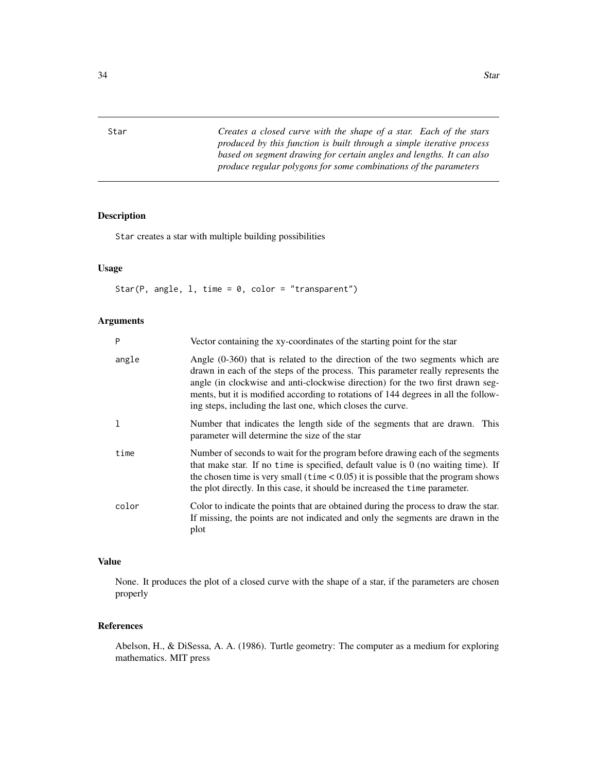<span id="page-33-0"></span>Star *Creates a closed curve with the shape of a star. Each of the stars produced by this function is built through a simple iterative process based on segment drawing for certain angles and lengths. It can also produce regular polygons for some combinations of the parameters*

#### Description

Star creates a star with multiple building possibilities

# Usage

Star(P, angle,  $l$ , time = 0, color = "transparent")

#### Arguments

| P     | Vector containing the xy-coordinates of the starting point for the star                                                                                                                                                                                                                                                                                                                                 |
|-------|---------------------------------------------------------------------------------------------------------------------------------------------------------------------------------------------------------------------------------------------------------------------------------------------------------------------------------------------------------------------------------------------------------|
| angle | Angle $(0-360)$ that is related to the direction of the two segments which are<br>drawn in each of the steps of the process. This parameter really represents the<br>angle (in clockwise and anti-clockwise direction) for the two first drawn seg-<br>ments, but it is modified according to rotations of 144 degrees in all the follow-<br>ing steps, including the last one, which closes the curve. |
| 1     | Number that indicates the length side of the segments that are drawn. This<br>parameter will determine the size of the star                                                                                                                                                                                                                                                                             |
| time  | Number of seconds to wait for the program before drawing each of the segments<br>that make star. If no time is specified, default value is $0$ (no waiting time). If<br>the chosen time is very small ( $time < 0.05$ ) it is possible that the program shows<br>the plot directly. In this case, it should be increased the time parameter.                                                            |
| color | Color to indicate the points that are obtained during the process to draw the star.<br>If missing, the points are not indicated and only the segments are drawn in the<br>plot                                                                                                                                                                                                                          |

#### Value

None. It produces the plot of a closed curve with the shape of a star, if the parameters are chosen properly

#### References

Abelson, H., & DiSessa, A. A. (1986). Turtle geometry: The computer as a medium for exploring mathematics. MIT press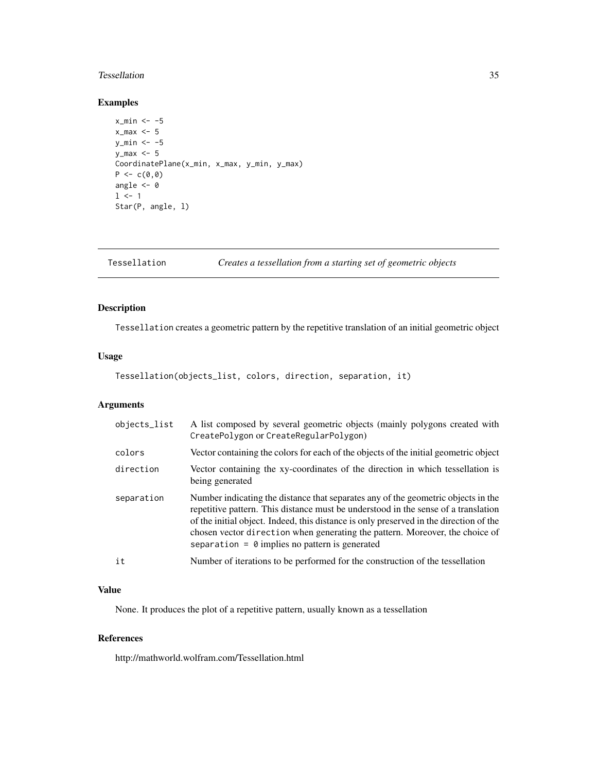#### <span id="page-34-0"></span>Tessellation 35

#### Examples

```
x_{min} < -5x_{max} < -5y_{min} < -5y_max \leq 5CoordinatePlane(x_min, x_max, y_min, y_max)
P \leftarrow c(0, 0)angle <-01 < -1Star(P, angle, l)
```
Tessellation *Creates a tessellation from a starting set of geometric objects*

# Description

Tessellation creates a geometric pattern by the repetitive translation of an initial geometric object

# Usage

Tessellation(objects\_list, colors, direction, separation, it)

# Arguments

| objects_list | A list composed by several geometric objects (mainly polygons created with<br>CreatePolygon or CreateRegularPolygon)                                                                                                                                                                                                                                                                                       |
|--------------|------------------------------------------------------------------------------------------------------------------------------------------------------------------------------------------------------------------------------------------------------------------------------------------------------------------------------------------------------------------------------------------------------------|
| colors       | Vector containing the colors for each of the objects of the initial geometric object                                                                                                                                                                                                                                                                                                                       |
| direction    | Vector containing the xy-coordinates of the direction in which tessellation is<br>being generated                                                                                                                                                                                                                                                                                                          |
| separation   | Number indicating the distance that separates any of the geometric objects in the<br>repetitive pattern. This distance must be understood in the sense of a translation<br>of the initial object. Indeed, this distance is only preserved in the direction of the<br>chosen vector direction when generating the pattern. Moreover, the choice of<br>separation = $\theta$ implies no pattern is generated |
| it           | Number of iterations to be performed for the construction of the tessellation                                                                                                                                                                                                                                                                                                                              |

### Value

None. It produces the plot of a repetitive pattern, usually known as a tessellation

#### References

http://mathworld.wolfram.com/Tessellation.html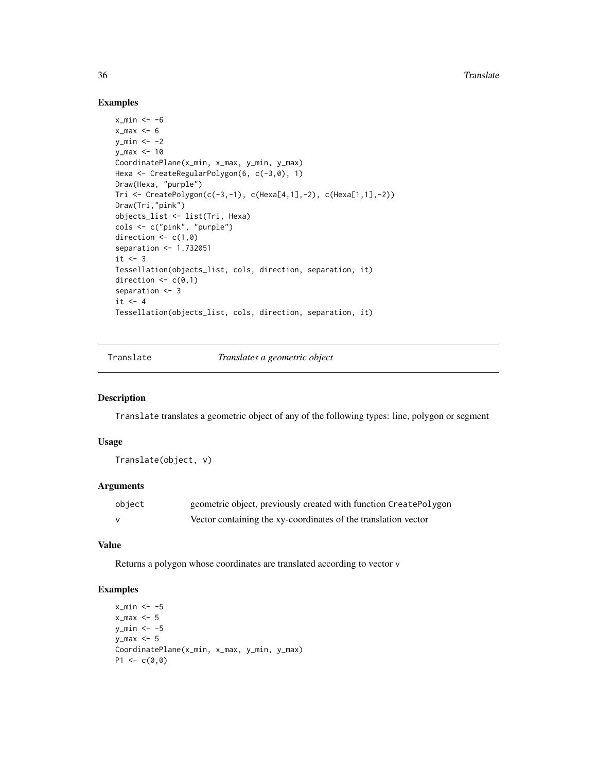#### Examples

```
x_{min} < -6x_max <-6y_{min} < -2y_max <- 10
CoordinatePlane(x_min, x_max, y_min, y_max)
Hexa <- CreateRegularPolygon(6, c(-3,0), 1)
Draw(Hexa, "purple")
Tri <- CreatePolygon(c(-3,-1), c(Hexa[4,1],-2), c(Hexa[1,1],-2))
Draw(Tri,"pink")
objects_list <- list(Tri, Hexa)
cols <- c("pink", "purple")
direction \leq c(1,0)separation <- 1.732051
it \leftarrow 3Tessellation(objects_list, cols, direction, separation, it)
direction \leq c(0,1)separation <- 3
it <- 4
Tessellation(objects_list, cols, direction, separation, it)
```
Translate *Translates a geometric object*

## Description

Translate translates a geometric object of any of the following types: line, polygon or segment

#### Usage

Translate(object, v)

#### Arguments

| object       | geometric object, previously created with function CreatePolygon |
|--------------|------------------------------------------------------------------|
| $\mathsf{v}$ | Vector containing the xy-coordinates of the translation vector   |

#### Value

Returns a polygon whose coordinates are translated according to vector v

```
x_{min} < -5x_{max} < -5y_{\text{min}} < -5y_max <- 5
CoordinatePlane(x_min, x_max, y_min, y_max)
P1 \leftarrow c(0, 0)
```
<span id="page-35-0"></span>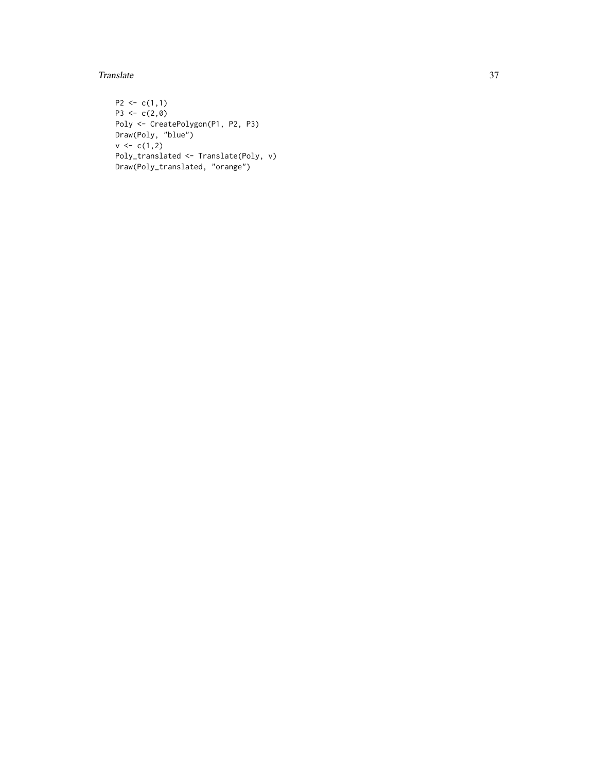#### Translate 37

```
P2 \leq c(1,1)P3 <- c(2,0)Poly <- CreatePolygon(P1, P2, P3)
Draw(Poly, "blue")
v < -c(1,2)Poly_translated <- Translate(Poly, v)
Draw(Poly_translated, "orange")
```